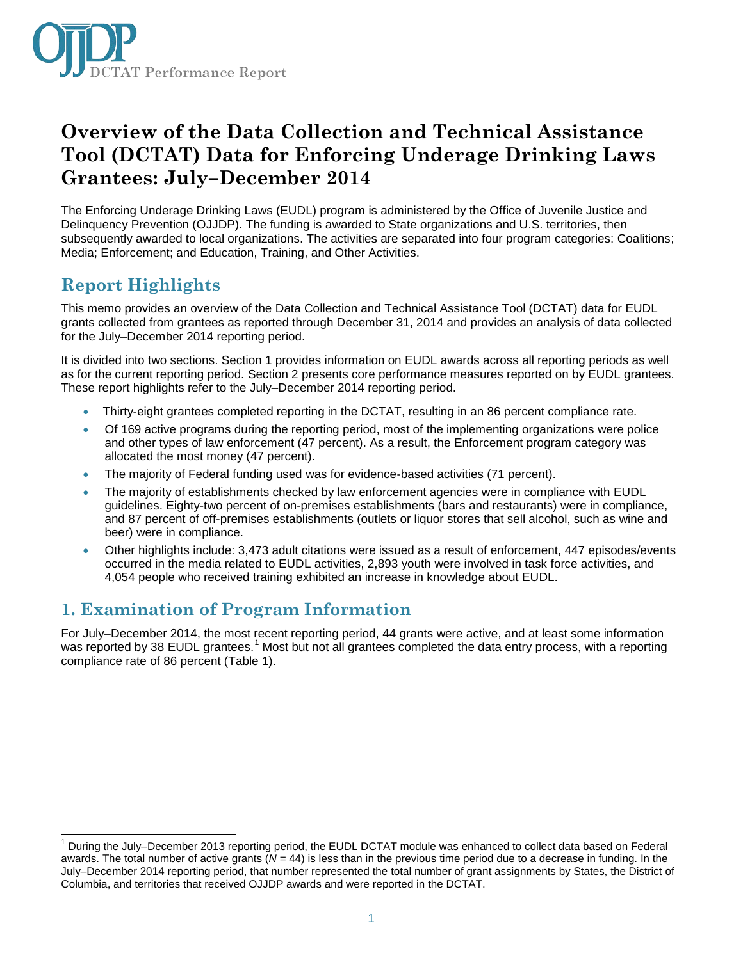

# **Overview of the Data Collection and Technical Assistance Tool (DCTAT) Data for Enforcing Underage Drinking Laws Grantees: July–December 2014**

The Enforcing Underage Drinking Laws (EUDL) program is administered by the Office of Juvenile Justice and Delinquency Prevention (OJJDP). The funding is awarded to State organizations and U.S. territories, then subsequently awarded to local organizations. The activities are separated into four program categories: Coalitions; Media; Enforcement; and Education, Training, and Other Activities.

# **Report Highlights**

This memo provides an overview of the Data Collection and Technical Assistance Tool (DCTAT) data for EUDL grants collected from grantees as reported through December 31, 2014 and provides an analysis of data collected for the July–December 2014 reporting period.

It is divided into two sections. Section 1 provides information on EUDL awards across all reporting periods as well as for the current reporting period. Section 2 presents core performance measures reported on by EUDL grantees. These report highlights refer to the July–December 2014 reporting period.

- Thirty-eight grantees completed reporting in the DCTAT, resulting in an 86 percent compliance rate.
- Of 169 active programs during the reporting period, most of the implementing organizations were police and other types of law enforcement (47 percent). As a result, the Enforcement program category was allocated the most money (47 percent).
- The majority of Federal funding used was for evidence-based activities (71 percent).
- The majority of establishments checked by law enforcement agencies were in compliance with EUDL guidelines. Eighty-two percent of on-premises establishments (bars and restaurants) were in compliance, and 87 percent of off-premises establishments (outlets or liquor stores that sell alcohol, such as wine and beer) were in compliance.
- Other highlights include: 3,473 adult citations were issued as a result of enforcement, 447 episodes/events occurred in the media related to EUDL activities, 2,893 youth were involved in task force activities, and 4,054 people who received training exhibited an increase in knowledge about EUDL.

### **1. Examination of Program Information**

For July–December 2014, the most recent reporting period, 44 grants were active, and at least some information was reported by 38 EUDL grantees.<sup>[1](#page-0-0)</sup> Most but not all grantees completed the data entry process, with a reporting compliance rate of 86 percent (Table 1).

<span id="page-0-0"></span> $\overline{\phantom{a}}$  $1$  During the July–December 2013 reporting period, the EUDL DCTAT module was enhanced to collect data based on Federal awards. The total number of active grants (*N =* 44) is less than in the previous time period due to a decrease in funding. In the July–December 2014 reporting period, that number represented the total number of grant assignments by States, the District of Columbia, and territories that received OJJDP awards and were reported in the DCTAT.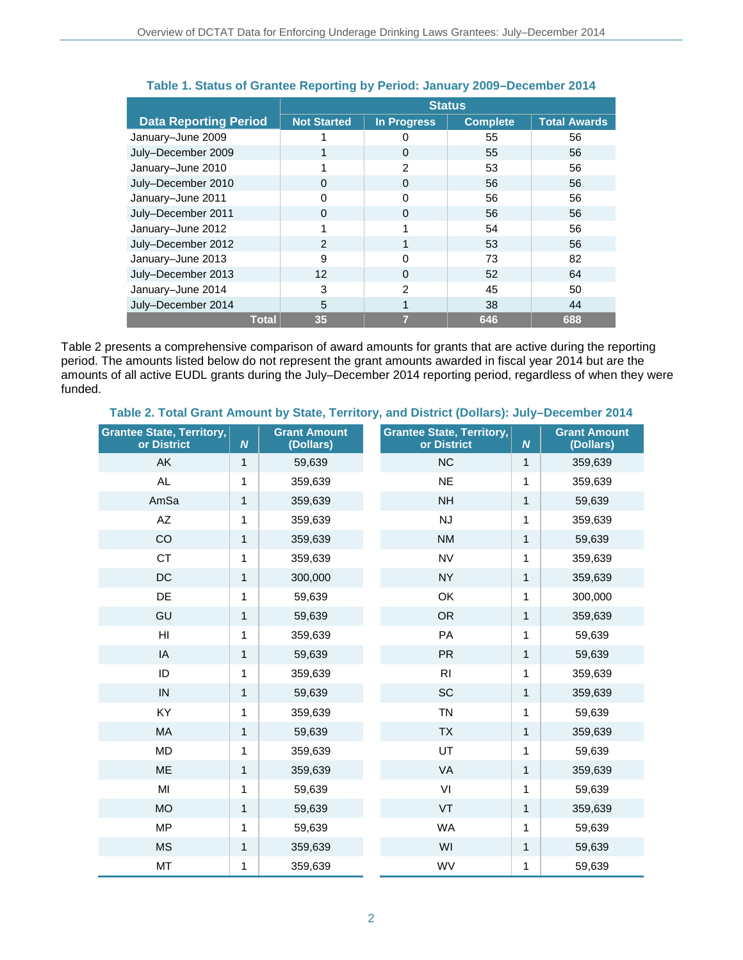|                              | <b>Status</b>      |                    |                 |                     |
|------------------------------|--------------------|--------------------|-----------------|---------------------|
| <b>Data Reporting Period</b> | <b>Not Started</b> | <b>In Progress</b> | <b>Complete</b> | <b>Total Awards</b> |
| January-June 2009            |                    |                    | 55              | 56                  |
| July-December 2009           |                    | $\Omega$           | 55              | 56                  |
| January-June 2010            |                    | $\mathfrak{p}$     | 53              | 56                  |
| July-December 2010           | 0                  | 0                  | 56              | 56                  |
| January-June 2011            | <sup>0</sup>       | $\Omega$           | 56              | 56                  |
| July-December 2011           | $\Omega$           | $\Omega$           | 56              | 56                  |
| January-June 2012            |                    |                    | 54              | 56                  |
| July-December 2012           | $\mathcal{P}$      |                    | 53              | 56                  |
| January-June 2013            | 9                  | $\Omega$           | 73              | 82                  |
| July-December 2013           | 12                 | $\Omega$           | 52              | 64                  |
| January-June 2014            | 3                  | $\mathcal{P}$      | 45              | 50                  |
| July-December 2014           | 5                  |                    | 38              | 44                  |
| <b>Total</b>                 | 35                 |                    | 646             | 688                 |

### **Table 1. Status of Grantee Reporting by Period: January 2009–December 2014**

Table 2 presents a comprehensive comparison of award amounts for grants that are active during the reporting period. The amounts listed below do not represent the grant amounts awarded in fiscal year 2014 but are the amounts of all active EUDL grants during the July–December 2014 reporting period, regardless of when they were funded.

### **Table 2. Total Grant Amount by State, Territory, and District (Dollars): July–December 2014**

| <b>Grantee State, Territory,</b><br>or District | N | <b>Grant Amount</b><br>(Dollars) | <b>Grantee State, Territory,</b><br>or District | $\boldsymbol{N}$ | <b>Grant Amount</b><br>(Dollars) |
|-------------------------------------------------|---|----------------------------------|-------------------------------------------------|------------------|----------------------------------|
| AK                                              | 1 | 59,639                           | <b>NC</b>                                       | $\mathbf{1}$     | 359,639                          |
| <b>AL</b>                                       | 1 | 359,639                          | <b>NE</b>                                       | 1                | 359,639                          |
| AmSa                                            | 1 | 359,639                          | <b>NH</b>                                       | 1                | 59,639                           |
| $\mathsf{A}\mathsf{Z}$                          | 1 | 359,639                          | <b>NJ</b>                                       | 1                | 359,639                          |
| CO                                              | 1 | 359,639                          | <b>NM</b>                                       | $\mathbf{1}$     | 59,639                           |
| <b>CT</b>                                       | 1 | 359,639                          | <b>NV</b>                                       | 1                | 359,639                          |
| $DC$                                            | 1 | 300,000                          | <b>NY</b>                                       | 1                | 359,639                          |
| DE                                              | 1 | 59,639                           | OK                                              | 1                | 300,000                          |
| GU                                              | 1 | 59,639                           | <b>OR</b>                                       | 1                | 359,639                          |
| H <sub>l</sub>                                  | 1 | 359,639                          | PA                                              | 1                | 59,639                           |
| IA                                              | 1 | 59,639                           | <b>PR</b>                                       | $\mathbf{1}$     | 59,639                           |
| ID                                              | 1 | 359,639                          | R <sub>l</sub>                                  | 1                | 359,639                          |
| IN                                              | 1 | 59,639                           | SC                                              | 1                | 359,639                          |
| KY                                              | 1 | 359,639                          | <b>TN</b>                                       | 1                | 59,639                           |
| MA                                              | 1 | 59,639                           | <b>TX</b>                                       | 1                | 359,639                          |
| MD                                              | 1 | 359,639                          | UT                                              | 1                | 59,639                           |
| <b>ME</b>                                       | 1 | 359,639                          | VA                                              | $\mathbf{1}$     | 359,639                          |
| MI                                              | 1 | 59,639                           | VI                                              | 1                | 59,639                           |
| <b>MO</b>                                       | 1 | 59,639                           | VT                                              | 1                | 359,639                          |
| <b>MP</b>                                       | 1 | 59,639                           | <b>WA</b>                                       | 1                | 59,639                           |
| <b>MS</b>                                       | 1 | 359,639                          | WI                                              | $\mathbf{1}$     | 59,639                           |
| MT                                              | 1 | 359,639                          | WV                                              | 1                | 59,639                           |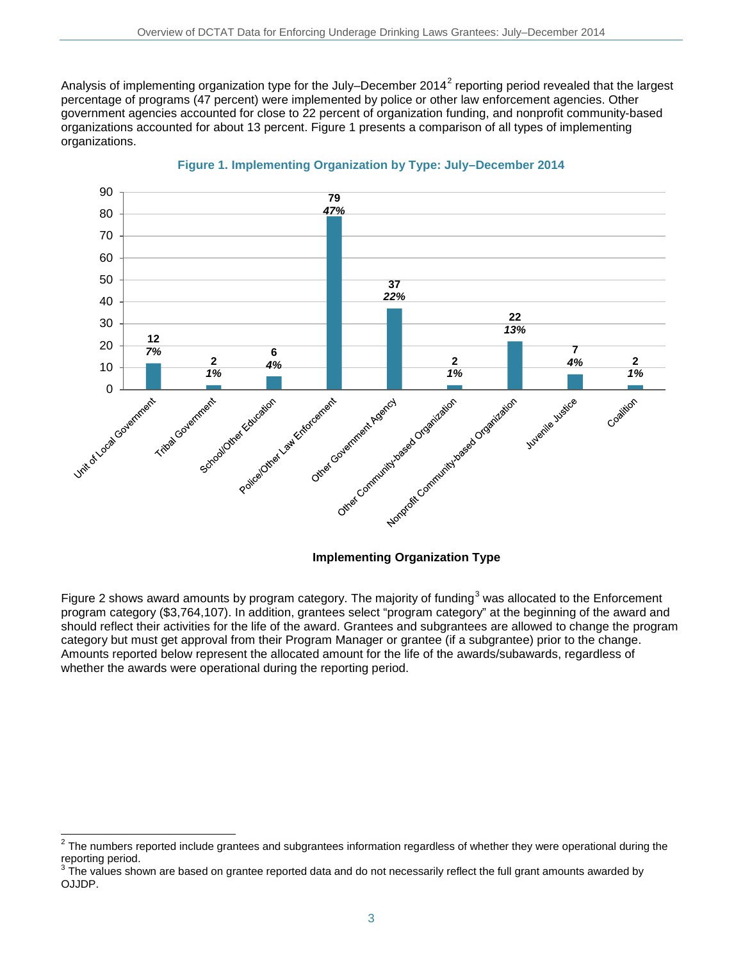Analysis of implementing organization type for the July–December [2](#page-2-0)014<sup>2</sup> reporting period revealed that the largest percentage of programs (47 percent) were implemented by police or other law enforcement agencies. Other government agencies accounted for close to 22 percent of organization funding, and nonprofit community-based organizations accounted for about 13 percent. Figure 1 presents a comparison of all types of implementing organizations.



#### **Figure 1. Implementing Organization by Type: July–December 2014**

### **Implementing Organization Type**

Figure 2 shows award amounts by program category. The majority of funding<sup>[3](#page-2-1)</sup> was allocated to the Enforcement program category (\$3,764,107). In addition, grantees select "program category" at the beginning of the award and should reflect their activities for the life of the award. Grantees and subgrantees are allowed to change the program category but must get approval from their Program Manager or grantee (if a subgrantee) prior to the change. Amounts reported below represent the allocated amount for the life of the awards/subawards, regardless of whether the awards were operational during the reporting period.

 $\overline{a}$ 

<span id="page-2-0"></span> $2$  The numbers reported include grantees and subgrantees information regardless of whether they were operational during the reporting period.

<span id="page-2-1"></span>The values shown are based on grantee reported data and do not necessarily reflect the full grant amounts awarded by OJJDP.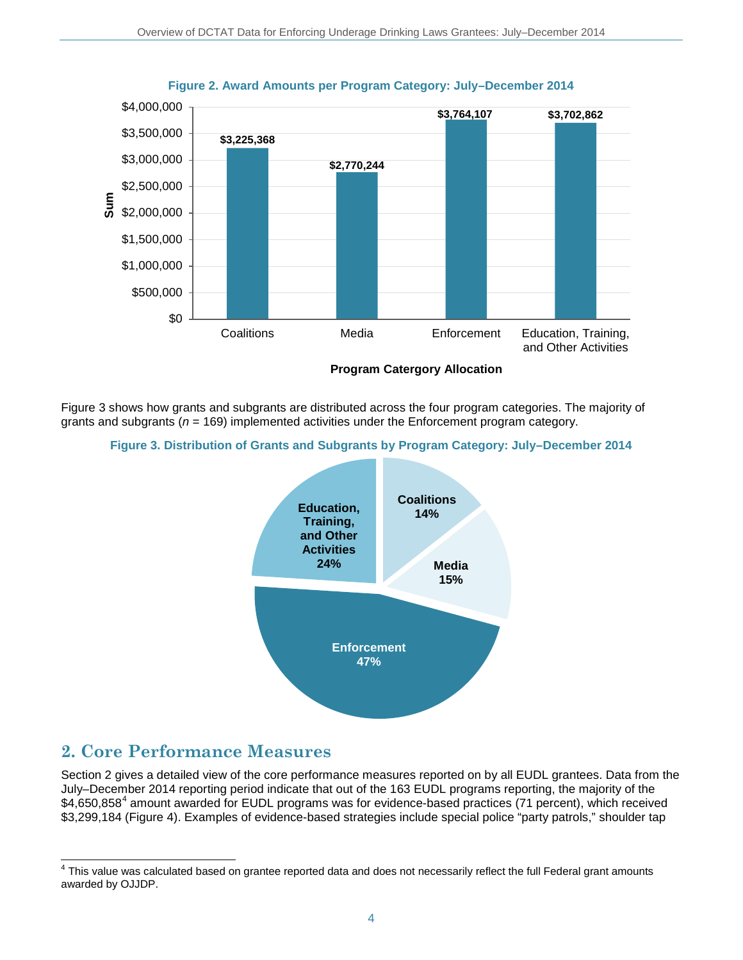

**Figure 2. Award Amounts per Program Category: July–December 2014**

Figure 3 shows how grants and subgrants are distributed across the four program categories. The majority of grants and subgrants (*n* = 169) implemented activities under the Enforcement program category.





## **2. Core Performance Measures**

Section 2 gives a detailed view of the core performance measures reported on by all EUDL grantees. Data from the July–December 2014 reporting period indicate that out of the 163 EUDL programs reporting, the majority of the \$[4](#page-3-0),650,858<sup>4</sup> amount awarded for EUDL programs was for evidence-based practices (71 percent), which received \$3,299,184 (Figure 4). Examples of evidence-based strategies include special police "party patrols," shoulder tap

<span id="page-3-0"></span>j <sup>4</sup> This value was calculated based on grantee reported data and does not necessarily reflect the full Federal grant amounts awarded by OJJDP.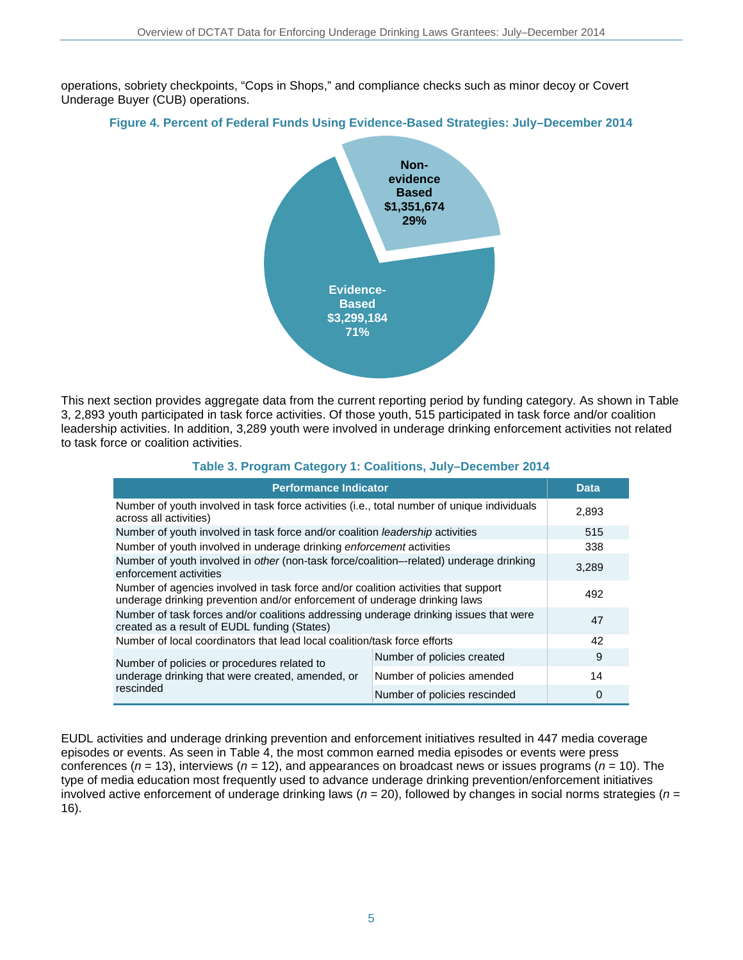operations, sobriety checkpoints, "Cops in Shops," and compliance checks such as minor decoy or Covert Underage Buyer (CUB) operations.

### **Figure 4. Percent of Federal Funds Using Evidence-Based Strategies: July–December 2014**



This next section provides aggregate data from the current reporting period by funding category. As shown in Table 3, 2,893 youth participated in task force activities. Of those youth, 515 participated in task force and/or coalition leadership activities. In addition, 3,289 youth were involved in underage drinking enforcement activities not related to task force or coalition activities.

### **Table 3. Program Category 1: Coalitions, July–December 2014**

| <b>Performance Indicator</b>                                                                                                                                    | <b>Data</b>                  |          |
|-----------------------------------------------------------------------------------------------------------------------------------------------------------------|------------------------------|----------|
| Number of youth involved in task force activities (i.e., total number of unique individuals<br>across all activities)                                           |                              | 2.893    |
| Number of youth involved in task force and/or coalition leadership activities                                                                                   | 515                          |          |
| Number of youth involved in underage drinking enforcement activities                                                                                            |                              | 338      |
| Number of youth involved in other (non-task force/coalition--related) underage drinking<br>enforcement activities                                               |                              | 3,289    |
| Number of agencies involved in task force and/or coalition activities that support<br>underage drinking prevention and/or enforcement of underage drinking laws |                              | 492      |
| Number of task forces and/or coalitions addressing underage drinking issues that were<br>created as a result of EUDL funding (States)                           |                              | 47       |
| Number of local coordinators that lead local coalition/task force efforts                                                                                       | 42                           |          |
| Number of policies or procedures related to                                                                                                                     | Number of policies created   | 9        |
| underage drinking that were created, amended, or                                                                                                                | Number of policies amended   | 14       |
| rescinded                                                                                                                                                       | Number of policies rescinded | $\Omega$ |

EUDL activities and underage drinking prevention and enforcement initiatives resulted in 447 media coverage episodes or events. As seen in Table 4, the most common earned media episodes or events were press conferences (*n* = 13), interviews (*n* = 12), and appearances on broadcast news or issues programs (*n* = 10). The type of media education most frequently used to advance underage drinking prevention/enforcement initiatives involved active enforcement of underage drinking laws (*n* = 20), followed by changes in social norms strategies (*n* = 16).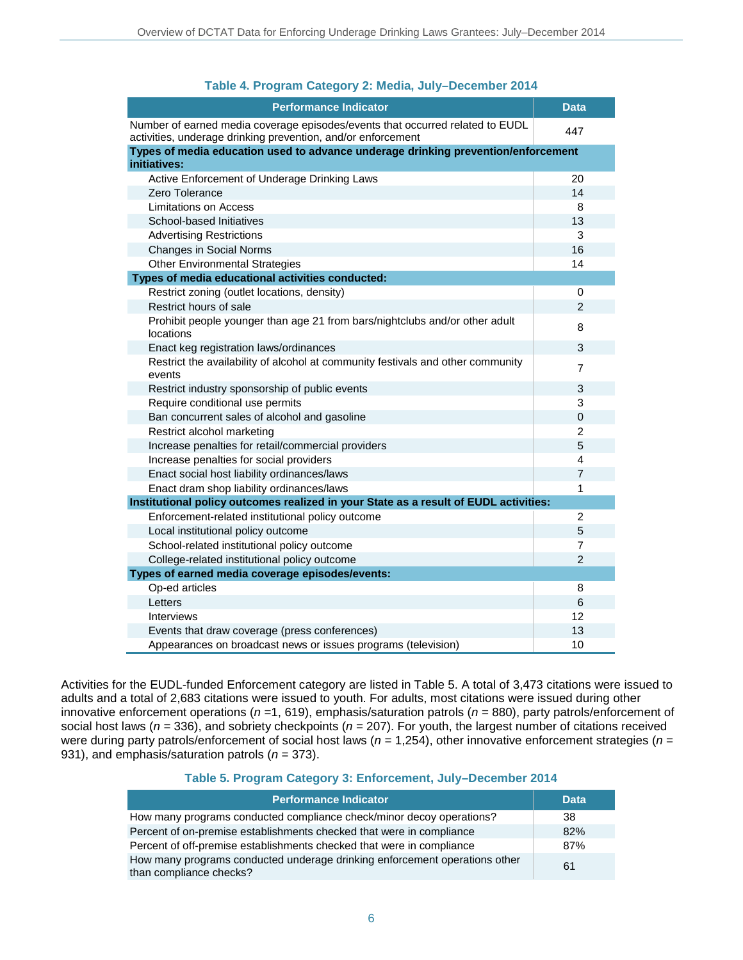| <b>Performance Indicator</b>                                                                                                                  | <b>Data</b>             |
|-----------------------------------------------------------------------------------------------------------------------------------------------|-------------------------|
| Number of earned media coverage episodes/events that occurred related to EUDL<br>activities, underage drinking prevention, and/or enforcement | 447                     |
| Types of media education used to advance underage drinking prevention/enforcement                                                             |                         |
| initiatives:                                                                                                                                  |                         |
| Active Enforcement of Underage Drinking Laws                                                                                                  | 20                      |
| Zero Tolerance                                                                                                                                | 14                      |
| Limitations on Access                                                                                                                         | 8                       |
| School-based Initiatives                                                                                                                      | 13                      |
| <b>Advertising Restrictions</b>                                                                                                               | 3                       |
| Changes in Social Norms                                                                                                                       | 16                      |
| <b>Other Environmental Strategies</b>                                                                                                         | 14                      |
| Types of media educational activities conducted:                                                                                              |                         |
| Restrict zoning (outlet locations, density)                                                                                                   | 0                       |
| Restrict hours of sale                                                                                                                        | $\overline{2}$          |
| Prohibit people younger than age 21 from bars/nightclubs and/or other adult<br>locations                                                      | 8                       |
| Enact keg registration laws/ordinances                                                                                                        | 3                       |
| Restrict the availability of alcohol at community festivals and other community<br>events                                                     | $\overline{7}$          |
| Restrict industry sponsorship of public events                                                                                                | 3                       |
| Require conditional use permits                                                                                                               | 3                       |
| Ban concurrent sales of alcohol and gasoline                                                                                                  | 0                       |
| Restrict alcohol marketing                                                                                                                    | $\overline{c}$          |
| Increase penalties for retail/commercial providers                                                                                            | 5                       |
| Increase penalties for social providers                                                                                                       | $\overline{\mathbf{4}}$ |
| Enact social host liability ordinances/laws                                                                                                   | $\overline{7}$          |
| Enact dram shop liability ordinances/laws                                                                                                     | 1                       |
| Institutional policy outcomes realized in your State as a result of EUDL activities:                                                          |                         |
| Enforcement-related institutional policy outcome                                                                                              | 2                       |
| Local institutional policy outcome                                                                                                            | 5                       |
| School-related institutional policy outcome                                                                                                   | 7                       |
| College-related institutional policy outcome                                                                                                  | $\overline{2}$          |
| Types of earned media coverage episodes/events:                                                                                               |                         |
| Op-ed articles                                                                                                                                | 8                       |
| Letters                                                                                                                                       | 6                       |
| Interviews                                                                                                                                    | 12                      |
| Events that draw coverage (press conferences)                                                                                                 | 13                      |
| Appearances on broadcast news or issues programs (television)                                                                                 | 10                      |

### **Table 4. Program Category 2: Media, July–December 2014**

Activities for the EUDL-funded Enforcement category are listed in Table 5. A total of 3,473 citations were issued to adults and a total of 2,683 citations were issued to youth. For adults, most citations were issued during other innovative enforcement operations (*n =*1, 619), emphasis/saturation patrols (*n* = 880), party patrols/enforcement of social host laws (*n =* 336), and sobriety checkpoints (*n* = 207). For youth, the largest number of citations received were during party patrols/enforcement of social host laws (*n* = 1,254), other innovative enforcement strategies (*n* = 931), and emphasis/saturation patrols (*n* = 373).

#### **Table 5. Program Category 3: Enforcement, July–December 2014**

| <b>Performance Indicator</b>                                                                          | <b>Data</b> |
|-------------------------------------------------------------------------------------------------------|-------------|
| How many programs conducted compliance check/minor decoy operations?                                  | 38          |
| Percent of on-premise establishments checked that were in compliance                                  | 82%         |
| Percent of off-premise establishments checked that were in compliance                                 | 87%         |
| How many programs conducted underage drinking enforcement operations other<br>than compliance checks? | 61          |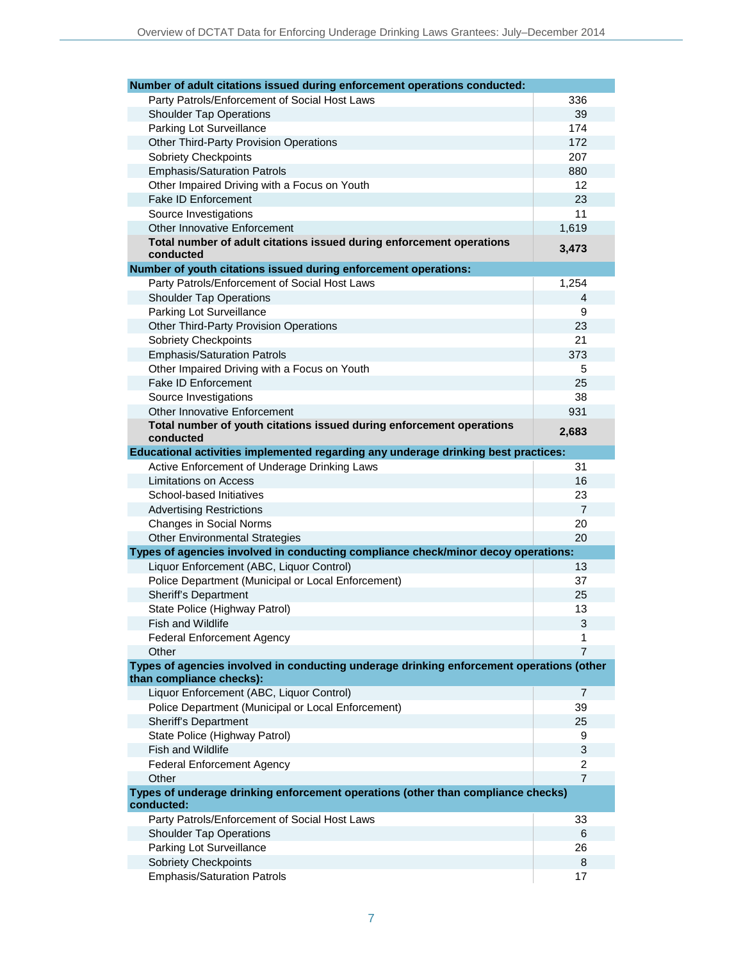| Number of adult citations issued during enforcement operations conducted:                                            |                |
|----------------------------------------------------------------------------------------------------------------------|----------------|
| Party Patrols/Enforcement of Social Host Laws                                                                        | 336            |
| <b>Shoulder Tap Operations</b>                                                                                       | 39             |
| Parking Lot Surveillance                                                                                             | 174            |
| <b>Other Third-Party Provision Operations</b>                                                                        | 172            |
| <b>Sobriety Checkpoints</b>                                                                                          | 207            |
| <b>Emphasis/Saturation Patrols</b>                                                                                   | 880            |
| Other Impaired Driving with a Focus on Youth                                                                         | 12             |
| <b>Fake ID Enforcement</b>                                                                                           | 23             |
| Source Investigations                                                                                                | 11             |
| <b>Other Innovative Enforcement</b>                                                                                  | 1,619          |
| Total number of adult citations issued during enforcement operations                                                 |                |
| conducted                                                                                                            | 3,473          |
| Number of youth citations issued during enforcement operations:                                                      |                |
| Party Patrols/Enforcement of Social Host Laws                                                                        | 1,254          |
| <b>Shoulder Tap Operations</b>                                                                                       | 4              |
| Parking Lot Surveillance                                                                                             | 9              |
| <b>Other Third-Party Provision Operations</b>                                                                        | 23             |
| Sobriety Checkpoints                                                                                                 | 21             |
| <b>Emphasis/Saturation Patrols</b>                                                                                   | 373            |
| Other Impaired Driving with a Focus on Youth                                                                         | 5              |
| <b>Fake ID Enforcement</b>                                                                                           | 25             |
| Source Investigations                                                                                                | 38             |
| Other Innovative Enforcement                                                                                         | 931            |
| Total number of youth citations issued during enforcement operations<br>conducted                                    | 2,683          |
| Educational activities implemented regarding any underage drinking best practices:                                   |                |
| Active Enforcement of Underage Drinking Laws                                                                         | 31             |
| Limitations on Access                                                                                                | 16             |
| School-based Initiatives                                                                                             | 23             |
| <b>Advertising Restrictions</b>                                                                                      | $\overline{7}$ |
| Changes in Social Norms                                                                                              | 20             |
| <b>Other Environmental Strategies</b>                                                                                | 20             |
| Types of agencies involved in conducting compliance check/minor decoy operations:                                    |                |
| Liquor Enforcement (ABC, Liquor Control)                                                                             | 13             |
| Police Department (Municipal or Local Enforcement)                                                                   | 37             |
| Sheriff's Department                                                                                                 | 25             |
| State Police (Highway Patrol)                                                                                        | 13             |
| Fish and Wildlife                                                                                                    | 3              |
| <b>Federal Enforcement Agency</b>                                                                                    | 1              |
| Other                                                                                                                | $\overline{7}$ |
| Types of agencies involved in conducting underage drinking enforcement operations (other<br>than compliance checks): |                |
| Liquor Enforcement (ABC, Liquor Control)                                                                             | $\overline{7}$ |
| Police Department (Municipal or Local Enforcement)                                                                   | 39             |
| Sheriff's Department                                                                                                 | 25             |
| State Police (Highway Patrol)                                                                                        | 9              |
| Fish and Wildlife                                                                                                    | 3              |
| <b>Federal Enforcement Agency</b>                                                                                    | 2              |
| Other                                                                                                                | $\overline{7}$ |
| Types of underage drinking enforcement operations (other than compliance checks)                                     |                |
| conducted:                                                                                                           |                |
| Party Patrols/Enforcement of Social Host Laws                                                                        | 33             |
| <b>Shoulder Tap Operations</b><br>Parking Lot Surveillance                                                           | 6<br>26        |
| <b>Sobriety Checkpoints</b>                                                                                          | 8              |
| <b>Emphasis/Saturation Patrols</b>                                                                                   | 17             |
|                                                                                                                      |                |